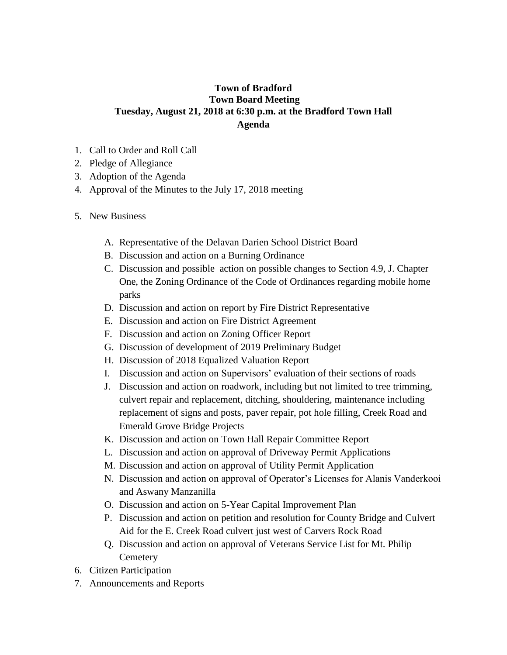## **Town of Bradford Town Board Meeting Tuesday, August 21, 2018 at 6:30 p.m. at the Bradford Town Hall Agenda**

- 1. Call to Order and Roll Call
- 2. Pledge of Allegiance
- 3. Adoption of the Agenda
- 4. Approval of the Minutes to the July 17, 2018 meeting
- 5. New Business
	- A. Representative of the Delavan Darien School District Board
	- B. Discussion and action on a Burning Ordinance
	- C. Discussion and possible action on possible changes to Section 4.9, J. Chapter One, the Zoning Ordinance of the Code of Ordinances regarding mobile home parks
	- D. Discussion and action on report by Fire District Representative
	- E. Discussion and action on Fire District Agreement
	- F. Discussion and action on Zoning Officer Report
	- G. Discussion of development of 2019 Preliminary Budget
	- H. Discussion of 2018 Equalized Valuation Report
	- I. Discussion and action on Supervisors' evaluation of their sections of roads
	- J. Discussion and action on roadwork, including but not limited to tree trimming, culvert repair and replacement, ditching, shouldering, maintenance including replacement of signs and posts, paver repair, pot hole filling, Creek Road and Emerald Grove Bridge Projects
	- K. Discussion and action on Town Hall Repair Committee Report
	- L. Discussion and action on approval of Driveway Permit Applications
	- M. Discussion and action on approval of Utility Permit Application
	- N. Discussion and action on approval of Operator's Licenses for Alanis Vanderkooi and Aswany Manzanilla
	- O. Discussion and action on 5-Year Capital Improvement Plan
	- P. Discussion and action on petition and resolution for County Bridge and Culvert Aid for the E. Creek Road culvert just west of Carvers Rock Road
	- Q. Discussion and action on approval of Veterans Service List for Mt. Philip **Cemetery**
- 6. Citizen Participation
- 7. Announcements and Reports